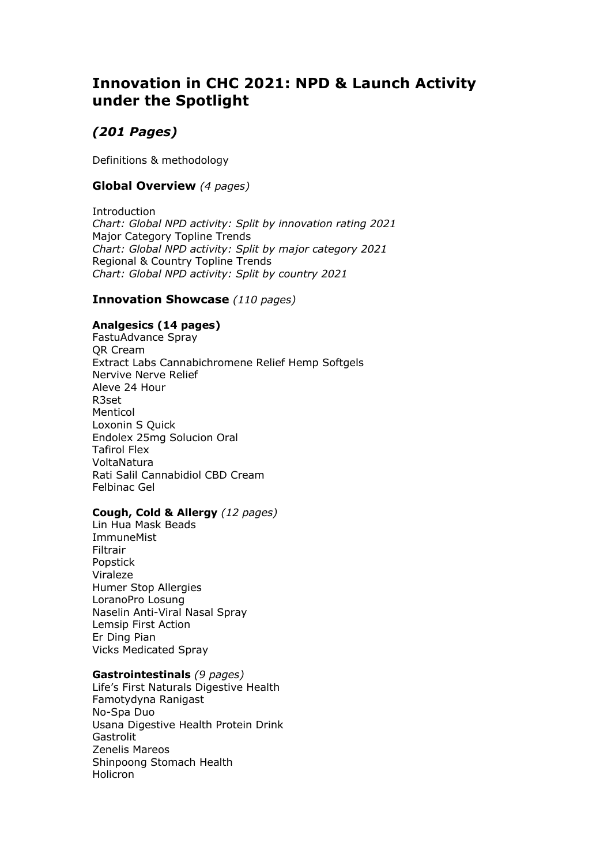# **Innovation in CHC 2021: NPD & Launch Activity under the Spotlight**

# *(201 Pages)*

Definitions & methodology

## **Global Overview** *(4 pages)*

**Introduction** *Chart: Global NPD activity: Split by innovation rating 2021* Major Category Topline Trends *Chart: Global NPD activity: Split by major category 2021* Regional & Country Topline Trends *Chart: Global NPD activity: Split by country 2021*

### **Innovation Showcase** *(110 pages)*

### **Analgesics (14 pages)**

FastuAdvance Spray QR Cream Extract Labs Cannabichromene Relief Hemp Softgels Nervive Nerve Relief Aleve 24 Hour R3set Menticol Loxonin S Quick Endolex 25mg Solucion Oral Tafirol Flex VoltaNatura Rati Salil Cannabidiol CBD Cream Felbinac Gel

#### **Cough, Cold & Allergy** *(12 pages)*

Lin Hua Mask Beads **ImmuneMist** Filtrair Popstick Viraleze Humer Stop Allergies LoranoPro Losung Naselin Anti-Viral Nasal Spray Lemsip First Action Er Ding Pian Vicks Medicated Spray

#### **Gastrointestinals** *(9 pages)*

Life's First Naturals Digestive Health Famotydyna Ranigast No-Spa Duo Usana Digestive Health Protein Drink **Gastrolit** Zenelis Mareos Shinpoong Stomach Health **Holicron**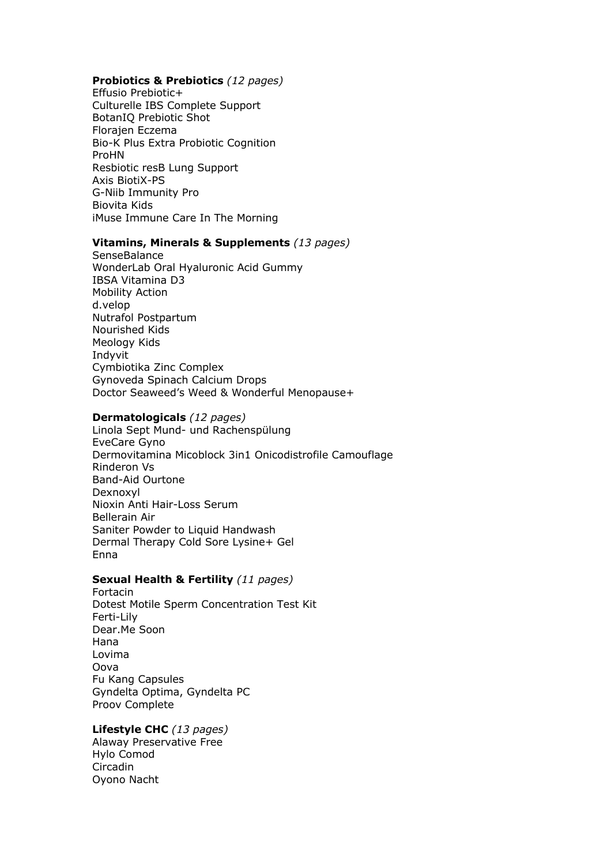### Probiotics & Prebiotics (12 pages)

Effusio Prebiotic+ Culturelle IBS Complete Support BotanIQ Prebiotic Shot Florajen Eczema Bio-K Plus Extra Probiotic Cognition ProHN Resbiotic resB Lung Support Axis BiotiX-PS G-Niib Immunity Pro Biovita Kids iMuse Immune Care In The Morning

### Vitamins, Minerals & Supplements (13 pages)

SenseBalance WonderLab Oral Hyaluronic Acid Gummy IBSA Vitamina D3 **Mobility Action** d.velop Nutrafol Postpartum Nourished Kids Meology Kids Indvvit Cymbiotika Zinc Complex Gynoveda Spinach Calcium Drops Doctor Seaweed's Weed & Wonderful Menopause+

#### Dermatologicals (12 pages)

Linola Sept Mund- und Rachenspülung EveCare Gyno Dermovitamina Micoblock 3in1 Onicodistrofile Camouflage **Rinderon Vs** Band-Aid Ourtone Dexnoxyl Nioxin Anti Hair-Loss Serum **Bellerain Air** Saniter Powder to Liquid Handwash Dermal Therapy Cold Sore Lysine+ Gel Enna

### Sexual Health & Fertility (11 pages)

Fortacin Dotest Motile Sperm Concentration Test Kit Ferti-Lily Dear.Me Soon Hana Lovima Oova Fu Kang Capsules Gyndelta Optima, Gyndelta PC Proov Complete

### Lifestyle CHC (13 pages)

Alaway Preservative Free Hylo Comod Circadin Oyono Nacht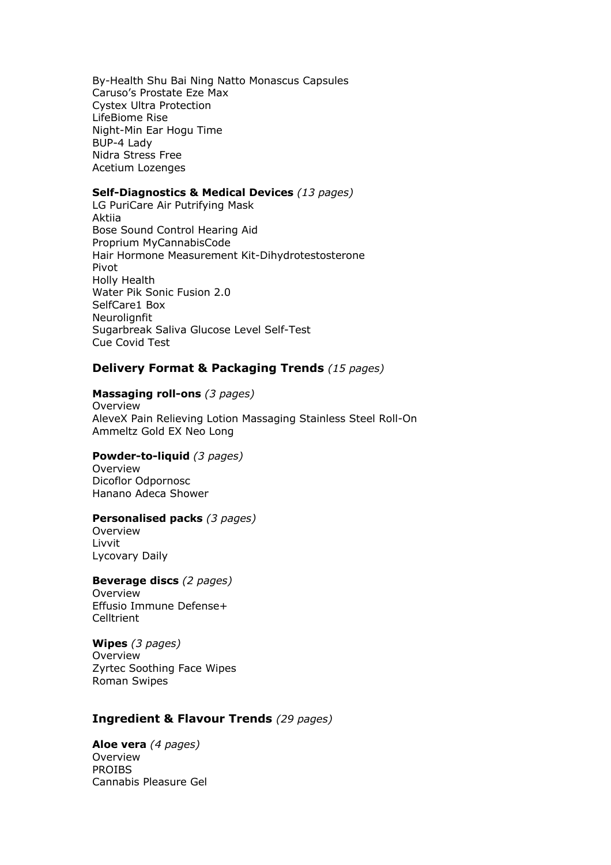By-Health Shu Bai Ning Natto Monascus Capsules Caruso's Prostate Eze Max Cystex Ultra Protection LifeBiome Rise Night-Min Ear Hogu Time BUP-4 Lady Nidra Stress Free Acetium Lozenges

### **Self-Diagnostics & Medical Devices** *(13 pages)*

LG PuriCare Air Putrifying Mask Aktiia Bose Sound Control Hearing Aid Proprium MyCannabisCode Hair Hormone Measurement Kit-Dihydrotestosterone Pivot Holly Health Water Pik Sonic Fusion 2.0 SelfCare1 Box **Neurolianfit** Sugarbreak Saliva Glucose Level Self-Test Cue Covid Test

### **Delivery Format & Packaging Trends** *(15 pages)*

#### **Massaging roll-ons** *(3 pages)*

Overview AleveX Pain Relieving Lotion Massaging Stainless Steel Roll-On Ammeltz Gold EX Neo Long

### **Powder-to-liquid** *(3 pages)*

**Overview** Dicoflor Odpornosc Hanano Adeca Shower

#### **Personalised packs** *(3 pages)*

Overview Livvit Lycovary Daily

### **Beverage discs** *(2 pages)*

Overview Effusio Immune Defense+ **Celltrient** 

#### **Wipes** *(3 pages)*

Overview Zyrtec Soothing Face Wipes Roman Swipes

### **Ingredient & Flavour Trends** *(29 pages)*

**Aloe vera** *(4 pages)* Overview PROIBS Cannabis Pleasure Gel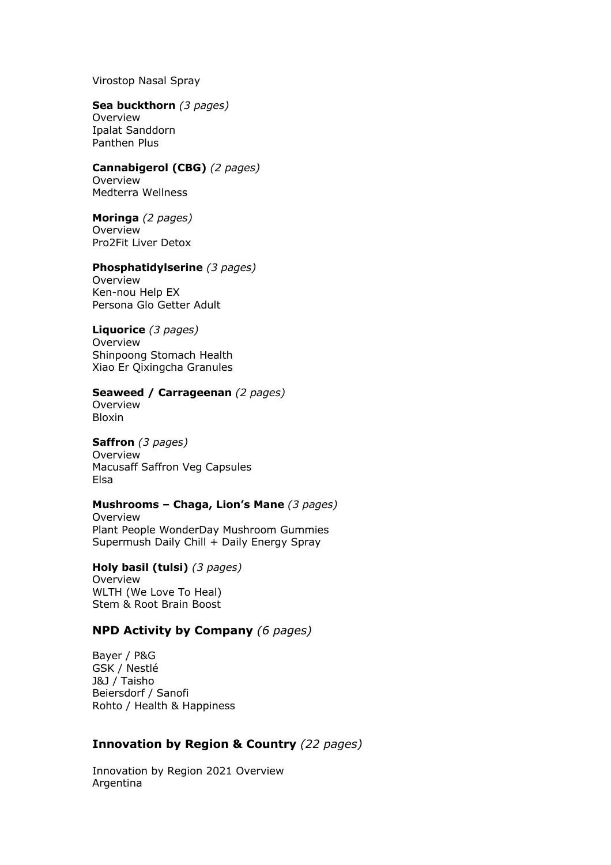Virostop Nasal Spray

#### **Sea buckthorn** *(3 pages)* Overview Ipalat Sanddorn Panthen Plus

# **Cannabigerol (CBG)** *(2 pages)* Overview

Medterra Wellness

# **Moringa** *(2 pages)*

Overview Pro2Fit Liver Detox

### **Phosphatidylserine** *(3 pages)*

Overview Ken-nou Help EX Persona Glo Getter Adult

### **Liquorice** *(3 pages)*

Overview Shinpoong Stomach Health Xiao Er Qixingcha Granules

### **Seaweed / Carrageenan** *(2 pages)*

Overview Bloxin

# **Saffron** *(3 pages)*

**Overview** Macusaff Saffron Veg Capsules Elsa

# **Mushrooms – Chaga, Lion's Mane** *(3 pages)*

Overview Plant People WonderDay Mushroom Gummies Supermush Daily Chill + Daily Energy Spray

**Holy basil (tulsi)** *(3 pages)* Overview WLTH (We Love To Heal) Stem & Root Brain Boost

# **NPD Activity by Company** *(6 pages)*

Bayer / P&G GSK / Nestlé J&J / Taisho Beiersdorf / Sanofi Rohto / Health & Happiness

# **Innovation by Region & Country** *(22 pages)*

Innovation by Region 2021 Overview Argentina